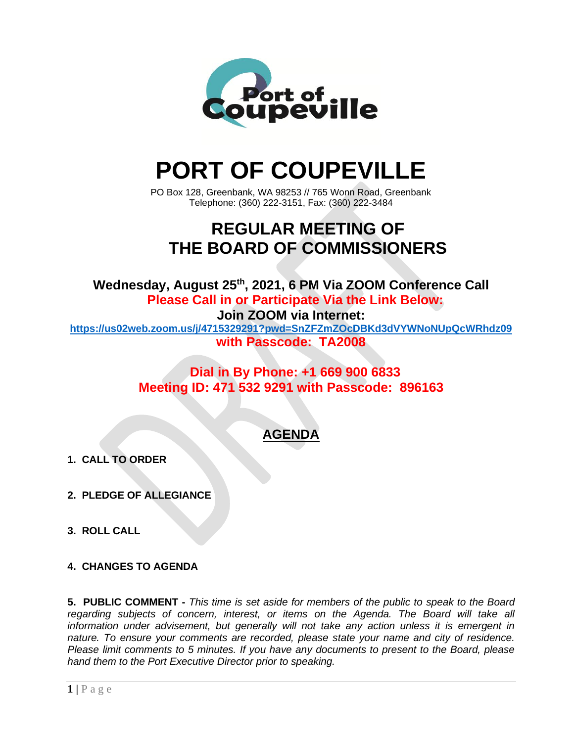

# **PORT OF COUPEVILLE**

PO Box 128, Greenbank, WA 98253 // 765 Wonn Road, Greenbank Telephone: (360) 222-3151, Fax: (360) 222-3484

## **REGULAR MEETING OF THE BOARD OF COMMISSIONERS**

**Wednesday, August 25 th , 2021, 6 PM Via ZOOM Conference Call Please Call in or Participate Via the Link Below:**

**Join ZOOM via Internet:**

**<https://us02web.zoom.us/j/4715329291?pwd=SnZFZmZOcDBKd3dVYWNoNUpQcWRhdz09> with Passcode: TA2008**

> **Dial in By Phone: +1 669 900 6833 Meeting ID: 471 532 9291 with Passcode: 896163**

### **AGENDA**

- **1. CALL TO ORDER**
- **2. PLEDGE OF ALLEGIANCE**
- **3. ROLL CALL**
- **4. CHANGES TO AGENDA**

**5. PUBLIC COMMENT -** *This time is set aside for members of the public to speak to the Board regarding subjects of concern, interest, or items on the Agenda. The Board will take all information under advisement, but generally will not take any action unless it is emergent in nature. To ensure your comments are recorded, please state your name and city of residence. Please limit comments to 5 minutes. If you have any documents to present to the Board, please hand them to the Port Executive Director prior to speaking.*